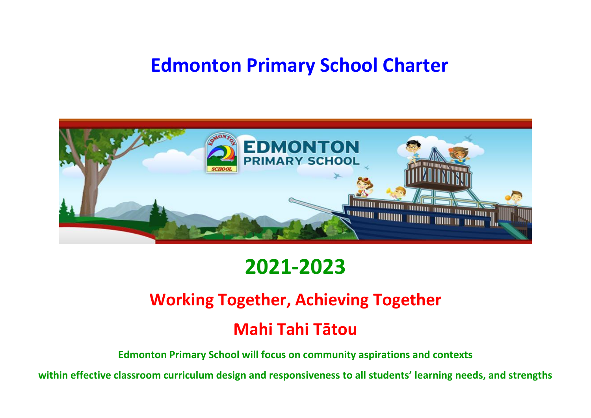# **Edmonton Primary School Charter**



# **2021-2023**

## **Working Together, Achieving Together**

## **Mahi Tahi Tātou**

**Edmonton Primary School will focus on community aspirations and contexts** 

**within effective classroom curriculum design and responsiveness to all students' learning needs, and strengths**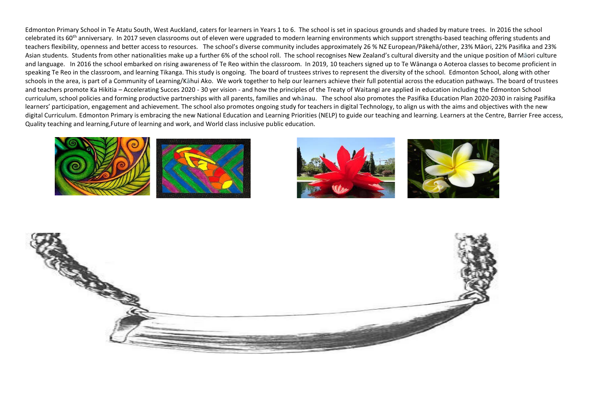Edmonton Primary School in Te Atatu South, West Auckland, caters for learners in Years 1 to 6. The school is set in spacious grounds and shaded by mature trees. In 2016 the school celebrated its 60<sup>th</sup> anniversary. In 2017 seven classrooms out of eleven were upgraded to modern learning environments which support strengths-based teaching offering students and teachers flexibility, openness and better access to resources. The school's diverse community includes approximately 26 % NZ European/Pākehā/other, 23% Māori, 22% Pasifika and 23% Asian students. Students from other nationalities make up a further 6% of the school roll. The school recognises New Zealand's cultural diversity and the unique position of Māori culture and language. In 2016 the school embarked on rising awareness of Te Reo within the classroom. In 2019, 10 teachers signed up to Te Wānanga o Aoteroa classes to become proficient in speaking Te Reo in the classroom, and learning Tikanga. This study is ongoing. The board of trustees strives to represent the diversity of the school. Edmonton School, along with other schools in the area, is part of a Community of Learning/Kāhui Ako. We work together to help our learners achieve their full potential across the education pathways. The board of trustees and teachers promote Ka Hikitia – Accelerating Succes 2020 - 30 yer vision - and how the principles of the Treaty of Waitangi are applied in education including the Edmonton School curriculum, school policies and forming productive partnerships with all parents, families and whānau. The school also promotes the Pasifika Education Plan 2020-2030 in raising Pasifika learners' participation, engagement and achievement. The school also promotes ongoing study for teachers in digital Technology, to align us with the aims and objectives with the new digital Curriculum. Edmonton Primary is embracing the new National Education and Learning Priorities (NELP) to guide our teaching and learning. Learners at the Centre, Barrier Free access, Quality teaching and learning,Future of learning and work, and World class inclusive public education.







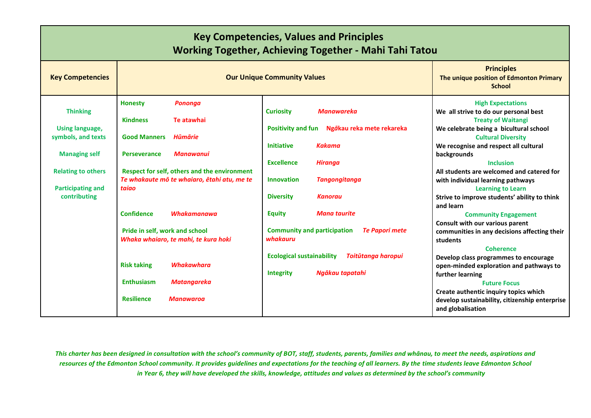| <b>Key Competencies, Values and Principles</b><br><b>Working Together, Achieving Together - Mahi Tahi Tatou</b> |                                                                                             |                                                                                                     |                                                                                                                                          |  |  |
|-----------------------------------------------------------------------------------------------------------------|---------------------------------------------------------------------------------------------|-----------------------------------------------------------------------------------------------------|------------------------------------------------------------------------------------------------------------------------------------------|--|--|
| <b>Key Competencies</b>                                                                                         | <b>Our Unique Community Values</b>                                                          | <b>Principles</b><br>The unique position of Edmonton Primary<br><b>School</b>                       |                                                                                                                                          |  |  |
| <b>Thinking</b><br>Using language,                                                                              | <b>Honesty</b><br><b>Pononga</b><br><b>Kindness</b><br>Te atawhai                           | <b>Curiosity</b><br><b>Manawareka</b><br><b>Positivity and fun</b><br>Ngākau reka mete rekareka     | <b>High Expectations</b><br>We all strive to do our personal best<br><b>Treaty of Waitangi</b><br>We celebrate being a bicultural school |  |  |
| symbols, and texts<br><b>Managing self</b>                                                                      | <b>Good Manners</b><br>Hūmārie<br><b>Perseverance</b><br><b>Manawanui</b>                   | <b>Kakama</b><br><b>Initiative</b>                                                                  | <b>Cultural Diversity</b><br>We recognise and respect all cultural<br>backgrounds                                                        |  |  |
| <b>Relating to others</b>                                                                                       | Respect for self, others and the environment<br>Te whakaute mō te whaiaro, ētahi atu, me te | <b>Excellence</b><br><b>Hiranga</b><br><b>Innovation</b><br><b>Tangongitanga</b>                    | <b>Inclusion</b><br>All students are welcomed and catered for<br>with individual learning pathways                                       |  |  |
| <b>Participating and</b><br>contributing                                                                        | taiao                                                                                       | <b>Diversity</b><br><b>Kanorau</b>                                                                  | <b>Learning to Learn</b><br>Strive to improve students' ability to think<br>and learn                                                    |  |  |
|                                                                                                                 | <b>Confidence</b><br><b>Whakamanawa</b><br>Pride in self, work and school                   | <b>Equity</b><br><b>Mana taurite</b><br><b>Community and participation</b><br><b>Te Papori mete</b> | <b>Community Engagement</b><br>Consult with our various parent<br>communities in any decisions affecting their                           |  |  |
|                                                                                                                 | Whaka whaiaro, te mahi, te kura hoki<br><b>Whakawhara</b>                                   | whakauru<br><b>Ecological sustainability</b><br><b>Toitūtanga haropui</b>                           | students<br><b>Coherence</b><br>Develop class programmes to encourage                                                                    |  |  |
|                                                                                                                 | <b>Risk taking</b><br><b>Enthusiasm</b><br><b>Matangareka</b>                               | Ngākau tapatahi<br><b>Integrity</b>                                                                 | open-minded exploration and pathways to<br>further learning<br><b>Future Focus</b>                                                       |  |  |
|                                                                                                                 | <b>Resilience</b><br><b>Manawaroa</b>                                                       |                                                                                                     | Create authentic inquiry topics which<br>develop sustainability, citizenship enterprise<br>and globalisation                             |  |  |

*This charter has been designed in consultation with the school's community of BOT, staff, students, parents, families and whānau, to meet the needs, aspirations and resources of the Edmonton School community. It provides guidelines and expectations for the teaching of all learners. By the time students leave Edmonton School in Year 6, they will have developed the skills, knowledge, attitudes and values as determined by the school's community*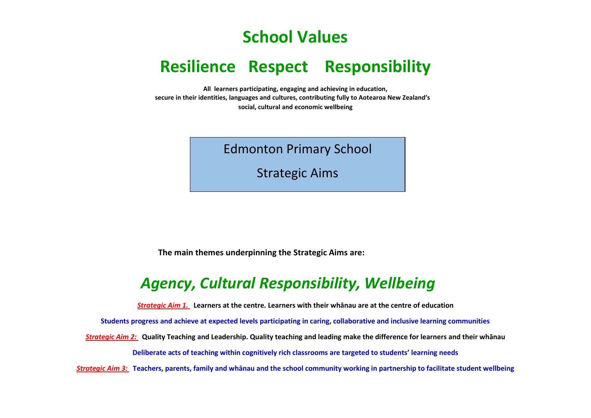## **School Values**

## **Resilience Respect Responsibility**

**All learners participating, engaging and achieving in education, secure in their identities, languages and cultures, contributing fully to Aotearoa New Zealand's social, cultural and economic wellbeing**

Edmonton Primary School

Strategic Aims

**The main themes underpinning the Strategic Aims are:**

## *Agency, Cultural Responsibility, Wellbeing*

*Strategic Aim 1.* **Learners at the centre. Learners with their whānau are at the centre of education**

**Students progress and achieve at expected levels participating in caring, collaborative and inclusive learning communities** 

*Strategic Aim 2:* **Quality Teaching and Leadership. Quality teaching and leading make the difference for learners and their whānau**

**Deliberate acts of teaching within cognitively rich classrooms are targeted to students' learning needs**

*Strategic Aim 3:* **Teachers, parents, family and whānau and the school community working in partnership to facilitate student wellbeing**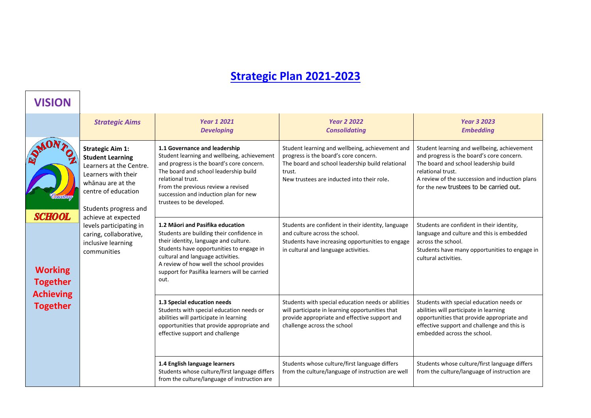## **Strategic Plan 2021-2023**

| <b>VISION</b>                                         |                                                                                                                                                                                                  |                                                                                                                                                                                                                                                                                                              |                                                                                                                                                                                                      |                                                                                                                                                                                                                                                     |
|-------------------------------------------------------|--------------------------------------------------------------------------------------------------------------------------------------------------------------------------------------------------|--------------------------------------------------------------------------------------------------------------------------------------------------------------------------------------------------------------------------------------------------------------------------------------------------------------|------------------------------------------------------------------------------------------------------------------------------------------------------------------------------------------------------|-----------------------------------------------------------------------------------------------------------------------------------------------------------------------------------------------------------------------------------------------------|
|                                                       | <b>Strategic Aims</b>                                                                                                                                                                            | <b>Year 1 2021</b><br><b>Developing</b>                                                                                                                                                                                                                                                                      | <b>Year 2 2022</b><br><b>Consolidating</b>                                                                                                                                                           | <b>Year 3 2023</b><br><b>Embedding</b>                                                                                                                                                                                                              |
| <b>SCHOOL</b>                                         | <b>Strategic Aim 1:</b><br><b>Student Learning</b><br>Learners at the Centre.<br>Learners with their<br>whānau are at the<br>centre of education<br>Students progress and<br>achieve at expected | 1.1 Governance and leadership<br>Student learning and wellbeing, achievement<br>and progress is the board's core concern.<br>The board and school leadership build<br>relational trust.<br>From the previous review a revised<br>succession and induction plan for new<br>trustees to be developed.          | Student learning and wellbeing, achievement and<br>progress is the board's core concern.<br>The board and school leadership build relational<br>trust.<br>New trustees are inducted into their role. | Student learning and wellbeing, achievement<br>and progress is the board's core concern.<br>The board and school leadership build<br>relational trust.<br>A review of the succession and induction plans<br>for the new trustees to be carried out. |
| <b>Working</b><br><b>Together</b><br><b>Achieving</b> | levels participating in<br>caring, collaborative,<br>inclusive learning<br>communities                                                                                                           | 1.2 Mäori and Pasifika education<br>Students are building their confidence in<br>their identity, language and culture.<br>Students have opportunities to engage in<br>cultural and language activities.<br>A review of how well the school provides<br>support for Pasifika learners will be carried<br>out. | Students are confident in their identity, language<br>and culture across the school.<br>Students have increasing opportunities to engage<br>in cultural and language activities.                     | Students are confident in their identity,<br>language and culture and this is embedded<br>across the school.<br>Students have many opportunities to engage in<br>cultural activities.                                                               |
| <b>Together</b>                                       |                                                                                                                                                                                                  | 1.3 Special education needs<br>Students with special education needs or<br>abilities will participate in learning<br>opportunities that provide appropriate and<br>effective support and challenge                                                                                                           | Students with special education needs or abilities<br>will participate in learning opportunities that<br>provide appropriate and effective support and<br>challenge across the school                | Students with special education needs or<br>abilities will participate in learning<br>opportunities that provide appropriate and<br>effective support and challenge and this is<br>embedded across the school.                                      |
|                                                       |                                                                                                                                                                                                  | 1.4 English language learners<br>Students whose culture/first language differs<br>from the culture/language of instruction are                                                                                                                                                                               | Students whose culture/first language differs<br>from the culture/language of instruction are well                                                                                                   | Students whose culture/first language differs<br>from the culture/language of instruction are                                                                                                                                                       |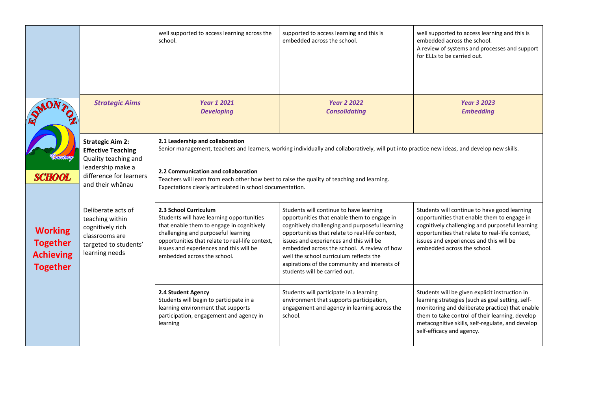|                                                                          |                                                                                                                        | well supported to access learning across the<br>school.                                                                                                                                                                                                                             | supported to access learning and this is<br>embedded across the school.                                                                                                                                                                                                                                                                                                                                             | well supported to access learning and this is<br>embedded across the school.<br>A review of systems and processes and support<br>for ELLs to be carried out.                                                                                                                              |  |
|--------------------------------------------------------------------------|------------------------------------------------------------------------------------------------------------------------|-------------------------------------------------------------------------------------------------------------------------------------------------------------------------------------------------------------------------------------------------------------------------------------|---------------------------------------------------------------------------------------------------------------------------------------------------------------------------------------------------------------------------------------------------------------------------------------------------------------------------------------------------------------------------------------------------------------------|-------------------------------------------------------------------------------------------------------------------------------------------------------------------------------------------------------------------------------------------------------------------------------------------|--|
|                                                                          | <b>Strategic Aims</b>                                                                                                  | <b>Year 1 2021</b><br><b>Developing</b>                                                                                                                                                                                                                                             | <b>Year 2 2022</b><br><b>Consolidating</b>                                                                                                                                                                                                                                                                                                                                                                          | <b>Year 3 2023</b><br><b>Embedding</b>                                                                                                                                                                                                                                                    |  |
|                                                                          | <b>Strategic Aim 2:</b><br><b>Effective Teaching</b><br>Quality teaching and                                           | 2.1 Leadership and collaboration<br>Senior management, teachers and learners, working individually and collaboratively, will put into practice new ideas, and develop new skills.                                                                                                   |                                                                                                                                                                                                                                                                                                                                                                                                                     |                                                                                                                                                                                                                                                                                           |  |
| <b>SCHOOL</b>                                                            | leadership make a<br>difference for learners<br>and their whanau                                                       | 2.2 Communication and collaboration<br>Teachers will learn from each other how best to raise the quality of teaching and learning.<br>Expectations clearly articulated in school documentation.                                                                                     |                                                                                                                                                                                                                                                                                                                                                                                                                     |                                                                                                                                                                                                                                                                                           |  |
| <b>Working</b><br><b>Together</b><br><b>Achieving</b><br><b>Together</b> | Deliberate acts of<br>teaching within<br>cognitively rich<br>classrooms are<br>targeted to students'<br>learning needs | 2.3 School Curriculum<br>Students will have learning opportunities<br>that enable them to engage in cognitively<br>challenging and purposeful learning<br>opportunities that relate to real-life context,<br>issues and experiences and this will be<br>embedded across the school. | Students will continue to have learning<br>opportunities that enable them to engage in<br>cognitively challenging and purposeful learning<br>opportunities that relate to real-life context,<br>issues and experiences and this will be<br>embedded across the school. A review of how<br>well the school curriculum reflects the<br>aspirations of the community and interests of<br>students will be carried out. | Students will continue to have good learning<br>opportunities that enable them to engage in<br>cognitively challenging and purposeful learning<br>opportunities that relate to real-life context,<br>issues and experiences and this will be<br>embedded across the school.               |  |
|                                                                          |                                                                                                                        | 2.4 Student Agency<br>Students will begin to participate in a<br>learning environment that supports<br>participation, engagement and agency in<br>learning                                                                                                                          | Students will participate in a learning<br>environment that supports participation,<br>engagement and agency in learning across the<br>school.                                                                                                                                                                                                                                                                      | Students will be given explicit instruction in<br>learning strategies (such as goal setting, self-<br>monitoring and deliberate practice) that enable<br>them to take control of their learning, develop<br>metacognitive skills, self-regulate, and develop<br>self-efficacy and agency. |  |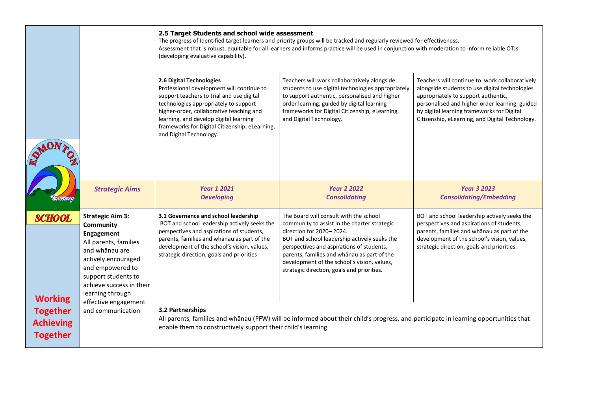|                                                        |                                                                                                                                                                                                                 | 2.5 Target Students and school wide assessment<br>The progress of Identified target learners and priority groups will be tracked and regularly reviewed for effectiveness.<br>Assessment that is robust, equitable for all learners and informs practice will be used in conjunction with moderation to inform reliable OTJs<br>(developing evaluative capability). |                                                                                                                                                                                                                                                                                                                                                             |                                                                                                                                                                                                                                                                                            |  |
|--------------------------------------------------------|-----------------------------------------------------------------------------------------------------------------------------------------------------------------------------------------------------------------|---------------------------------------------------------------------------------------------------------------------------------------------------------------------------------------------------------------------------------------------------------------------------------------------------------------------------------------------------------------------|-------------------------------------------------------------------------------------------------------------------------------------------------------------------------------------------------------------------------------------------------------------------------------------------------------------------------------------------------------------|--------------------------------------------------------------------------------------------------------------------------------------------------------------------------------------------------------------------------------------------------------------------------------------------|--|
|                                                        |                                                                                                                                                                                                                 | 2.6 Digital Technologies<br>Professional development will continue to<br>support teachers to trial and use digital<br>technologies appropriately to support<br>higher-order, collaborative teaching and<br>learning, and develop digital learning<br>frameworks for Digital Citizenship, eLearning,<br>and Digital Technology.                                      | Teachers will work collaboratively alongside<br>students to use digital technologies appropriately<br>to support authentic, personalised and higher<br>order learning, guided by digital learning<br>frameworks for Digital Citizenship, eLearning,<br>and Digital Technology.                                                                              | Teachers will continue to work collaboratively<br>alongside students to use digital technologies<br>appropriately to support authentic,<br>personalised and higher order learning, guided<br>by digital learning frameworks for Digital<br>Citizenship, eLearning, and Digital Technology. |  |
|                                                        | <b>Strategic Aims</b>                                                                                                                                                                                           | <b>Year 1 2021</b><br><b>Developing</b>                                                                                                                                                                                                                                                                                                                             | <b>Year 2 2022</b><br><b>Consolidating</b>                                                                                                                                                                                                                                                                                                                  | <b>Year 3 2023</b><br><b>Consolidating/Embedding</b>                                                                                                                                                                                                                                       |  |
| <b>SCHOOL</b><br><b>Working</b>                        | <b>Strategic Aim 3:</b><br>Community<br>Engagement<br>All parents, families<br>and whānau are<br>actively encouraged<br>and empowered to<br>support students to<br>achieve success in their<br>learning through | 3.1 Governance and school leadership<br>BOT and school leadership actively seeks the<br>perspectives and aspirations of students,<br>parents, families and whanau as part of the<br>development of the school's vision, values,<br>strategic direction, goals and priorities                                                                                        | The Board will consult with the school<br>community to assist in the charter strategic<br>direction for 2020-2024.<br>BOT and school leadership actively seeks the<br>perspectives and aspirations of students,<br>parents, families and whanau as part of the<br>development of the school's vision, values,<br>strategic direction, goals and priorities. | BOT and school leadership actively seeks the<br>perspectives and aspirations of students,<br>parents, families and whānau as part of the<br>development of the school's vision, values,<br>strategic direction, goals and priorities.                                                      |  |
| <b>Together</b><br><b>Achieving</b><br><b>Together</b> | effective engagement<br>and communication                                                                                                                                                                       | 3.2 Partnerships<br>enable them to constructively support their child's learning                                                                                                                                                                                                                                                                                    | All parents, families and whanau (PFW) will be informed about their child's progress, and participate in learning opportunities that                                                                                                                                                                                                                        |                                                                                                                                                                                                                                                                                            |  |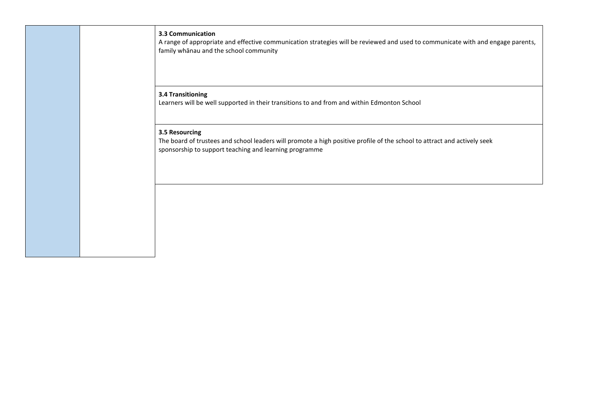**3.3 Communication** A range of appropriate and effective communication strategies will be reviewed and used to communicate with and engage parents, family whānau and the school community

#### **3.4 Transitioning**

Learners will be well supported in their transitions to and from and within Edmonton School

#### **3.5 Resourcing**

The board of trustees and school leaders will promote a high positive profile of the school to attract and actively seek sponsorship to support teaching and learning programme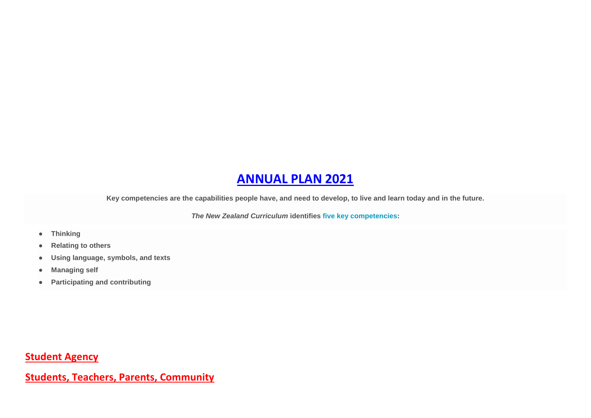### **ANNUAL PLAN 2021**

**Key competencies are the capabilities people have, and need to develop, to live and learn today and in the future.**

*The New Zealand Curriculum* **identifies [five key competencies:](https://nzcurriculum.tki.org.nz/The-New-Zealand-Curriculum#key_competencies)**

- **Thinking**
- **Relating to others**
- **Using language, symbols, and texts**
- **Managing self**
- **Participating and contributing**

**Student Agency**

**Students, Teachers, Parents, Community**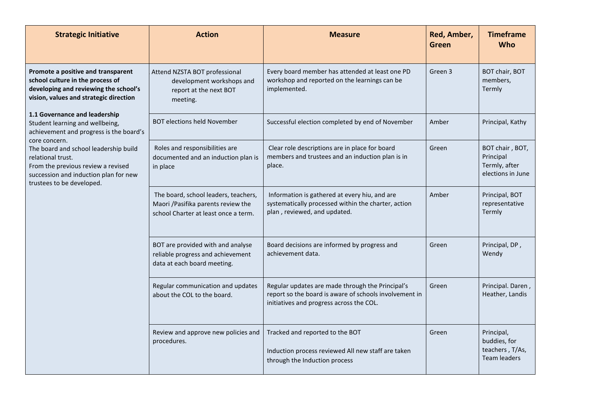| <b>Strategic Initiative</b>                                                                                                                                            | <b>Action</b>                                                                                                       | <b>Measure</b>                                                                                                                                         | Red, Amber,<br>Green | <b>Timeframe</b><br><b>Who</b>                                       |
|------------------------------------------------------------------------------------------------------------------------------------------------------------------------|---------------------------------------------------------------------------------------------------------------------|--------------------------------------------------------------------------------------------------------------------------------------------------------|----------------------|----------------------------------------------------------------------|
| Promote a positive and transparent<br>school culture in the process of<br>developing and reviewing the school's<br>vision, values and strategic direction              | Attend NZSTA BOT professional<br>development workshops and<br>report at the next BOT<br>meeting.                    | Every board member has attended at least one PD<br>workshop and reported on the learnings can be<br>implemented.                                       | Green 3              | BOT chair, BOT<br>members,<br>Termly                                 |
| 1.1 Governance and leadership<br>Student learning and wellbeing,<br>achievement and progress is the board's<br>core concern.                                           | <b>BOT elections held November</b>                                                                                  | Successful election completed by end of November                                                                                                       | Amber                | Principal, Kathy                                                     |
| The board and school leadership build<br>relational trust.<br>From the previous review a revised<br>succession and induction plan for new<br>trustees to be developed. | Roles and responsibilities are<br>documented and an induction plan is<br>in place                                   | Clear role descriptions are in place for board<br>members and trustees and an induction plan is in<br>place.                                           | Green                | BOT chair, BOT,<br>Principal<br>Termly, after<br>elections in June   |
|                                                                                                                                                                        | The board, school leaders, teachers,<br>Maori / Pasifika parents review the<br>school Charter at least once a term. | Information is gathered at every hiu, and are<br>systematically processed within the charter, action<br>plan, reviewed, and updated.                   | Amber                | Principal, BOT<br>representative<br>Termly                           |
|                                                                                                                                                                        | BOT are provided with and analyse<br>reliable progress and achievement<br>data at each board meeting.               | Board decisions are informed by progress and<br>achievement data.                                                                                      | Green                | Principal, DP,<br>Wendy                                              |
|                                                                                                                                                                        | Regular communication and updates<br>about the COL to the board.                                                    | Regular updates are made through the Principal's<br>report so the board is aware of schools involvement in<br>initiatives and progress across the COL. | Green                | Principal. Daren,<br>Heather, Landis                                 |
|                                                                                                                                                                        | Review and approve new policies and<br>procedures.                                                                  | Tracked and reported to the BOT<br>Induction process reviewed All new staff are taken<br>through the Induction process                                 | Green                | Principal,<br>buddies, for<br>teachers, T/As,<br><b>Team leaders</b> |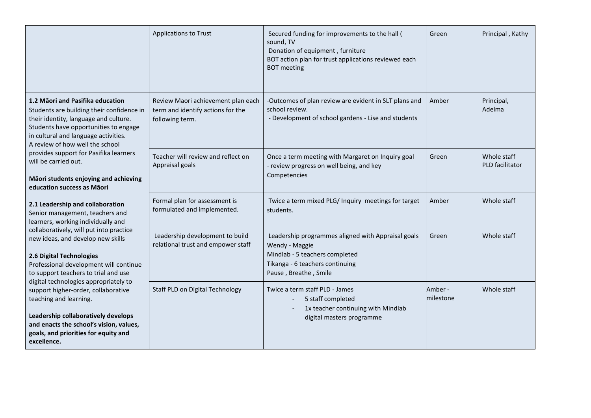|                                                                                                                                                                                                                                                 | <b>Applications to Trust</b>                                                               | Secured funding for improvements to the hall (<br>sound, TV<br>Donation of equipment, furniture<br>BOT action plan for trust applications reviewed each<br><b>BOT</b> meeting | Green                | Principal, Kathy               |
|-------------------------------------------------------------------------------------------------------------------------------------------------------------------------------------------------------------------------------------------------|--------------------------------------------------------------------------------------------|-------------------------------------------------------------------------------------------------------------------------------------------------------------------------------|----------------------|--------------------------------|
| 1.2 Māori and Pasifika education<br>Students are building their confidence in<br>their identity, language and culture.<br>Students have opportunities to engage<br>in cultural and language activities.<br>A review of how well the school      | Review Maori achievement plan each<br>term and identify actions for the<br>following term. | -Outcomes of plan review are evident in SLT plans and<br>school review.<br>- Development of school gardens - Lise and students                                                | Amber                | Principal,<br>Adelma           |
| provides support for Pasifika learners<br>will be carried out.<br>Māori students enjoying and achieving<br>education success as Māori                                                                                                           | Teacher will review and reflect on<br>Appraisal goals                                      | Once a term meeting with Margaret on Inquiry goal<br>- review progress on well being, and key<br>Competencies                                                                 | Green                | Whole staff<br>PLD facilitator |
| 2.1 Leadership and collaboration<br>Senior management, teachers and<br>learners, working individually and                                                                                                                                       | Formal plan for assessment is<br>formulated and implemented.                               | Twice a term mixed PLG/ Inquiry meetings for target<br>students.                                                                                                              | Amber                | Whole staff                    |
| collaboratively, will put into practice<br>new ideas, and develop new skills<br>2.6 Digital Technologies<br>Professional development will continue<br>to support teachers to trial and use                                                      | Leadership development to build<br>relational trust and empower staff                      | Leadership programmes aligned with Appraisal goals<br>Wendy - Maggie<br>Mindlab - 5 teachers completed<br>Tikanga - 6 teachers continuing<br>Pause, Breathe, Smile            | Green                | Whole staff                    |
| digital technologies appropriately to<br>support higher-order, collaborative<br>teaching and learning.<br>Leadership collaboratively develops<br>and enacts the school's vision, values,<br>goals, and priorities for equity and<br>excellence. | <b>Staff PLD on Digital Technology</b>                                                     | Twice a term staff PLD - James<br>5 staff completed<br>1x teacher continuing with Mindlab<br>digital masters programme                                                        | Amber -<br>milestone | Whole staff                    |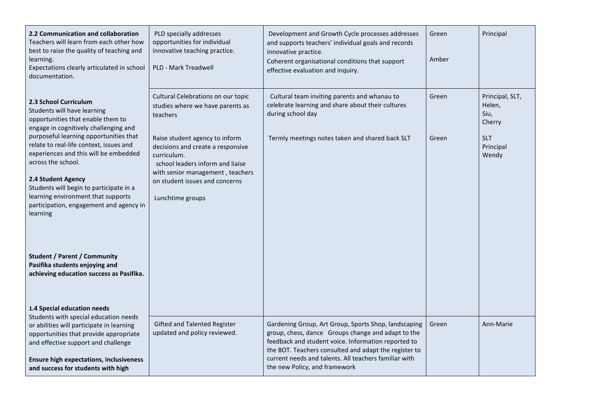| 2.2 Communication and collaboration<br>Teachers will learn from each other how<br>best to raise the quality of teaching and<br>learning.<br>Expectations clearly articulated in school<br>documentation.                                                                                                                                                                                                                                                                     | PLD specially addresses<br>opportunities for individual<br>innovative teaching practice.<br>PLD - Mark Treadwell                                                                                                 | Development and Growth Cycle processes addresses<br>and supports teachers' individual goals and records<br>innovative practice.<br>Coherent organisational conditions that support<br>effective evaluation and inquiry.                                                                                              | Green<br>Amber | Principal                                   |
|------------------------------------------------------------------------------------------------------------------------------------------------------------------------------------------------------------------------------------------------------------------------------------------------------------------------------------------------------------------------------------------------------------------------------------------------------------------------------|------------------------------------------------------------------------------------------------------------------------------------------------------------------------------------------------------------------|----------------------------------------------------------------------------------------------------------------------------------------------------------------------------------------------------------------------------------------------------------------------------------------------------------------------|----------------|---------------------------------------------|
| 2.3 School Curriculum<br>Students will have learning<br>opportunities that enable them to                                                                                                                                                                                                                                                                                                                                                                                    | Cultural Celebrations on our topic<br>studies where we have parents as<br>teachers                                                                                                                               | Cultural team inviting parents and whanau to<br>celebrate learning and share about their cultures<br>during school day                                                                                                                                                                                               | Green          | Principal, SLT,<br>Helen,<br>Siu,<br>Cherry |
| engage in cognitively challenging and<br>purposeful learning opportunities that<br>relate to real-life context, issues and<br>experiences and this will be embedded<br>across the school.<br>2.4 Student Agency<br>Students will begin to participate in a<br>learning environment that supports<br>participation, engagement and agency in<br>learning<br><b>Student / Parent / Community</b><br>Pasifika students enjoying and<br>achieving education success as Pasifika. | Raise student agency to inform<br>decisions and create a responsive<br>curriculum.<br>school leaders inform and liaise<br>with senior management, teachers<br>on student issues and concerns<br>Lunchtime groups | Termly meetings notes taken and shared back SLT                                                                                                                                                                                                                                                                      | Green          | <b>SLT</b><br>Principal<br>Wendy            |
| 1.4 Special education needs<br>Students with special education needs<br>or abilities will participate in learning<br>opportunities that provide appropriate<br>and effective support and challenge<br><b>Ensure high expectations, inclusiveness</b><br>and success for students with high                                                                                                                                                                                   | Gifted and Talented Register<br>updated and policy reviewed.                                                                                                                                                     | Gardening Group, Art Group, Sports Shop, landscaping<br>group, chess, dance Groups change and adapt to the<br>feedback and student voice. Information reported to<br>the BOT. Teachers consulted and adapt the register to<br>current needs and talents. All teachers familiar with<br>the new Policy, and framework | Green          | Ann-Marie                                   |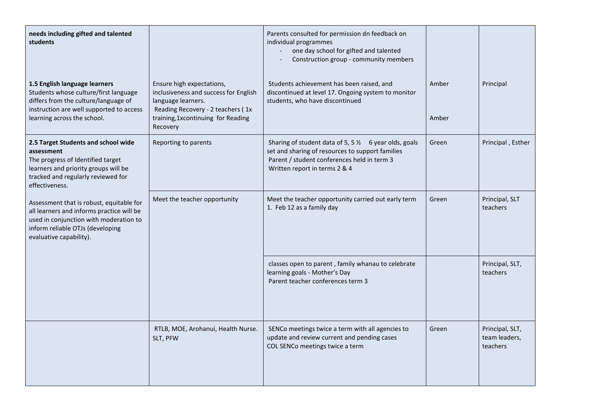| needs including gifted and talented<br>students                                                                                                                                                |                                                                                                                                                                                 | Parents consulted for permission dn feedback on<br>individual programmes<br>one day school for gifted and talented<br>$\frac{1}{2}$<br>Construction group - community members                        |                |                                              |
|------------------------------------------------------------------------------------------------------------------------------------------------------------------------------------------------|---------------------------------------------------------------------------------------------------------------------------------------------------------------------------------|------------------------------------------------------------------------------------------------------------------------------------------------------------------------------------------------------|----------------|----------------------------------------------|
| 1.5 English language learners<br>Students whose culture/first language<br>differs from the culture/language of<br>instruction are well supported to access<br>learning across the school.      | Ensure high expectations,<br>inclusiveness and success for English<br>language learners.<br>Reading Recovery - 2 teachers (1x<br>training, 1xcontinuing for Reading<br>Recovery | Students achievement has been raised, and<br>discontinued at level 17. Ongoing system to monitor<br>students, who have discontinued                                                                  | Amber<br>Amber | Principal                                    |
| 2.5 Target Students and school wide<br>assessment<br>The progress of Identified target<br>learners and priority groups will be<br>tracked and regularly reviewed for<br>effectiveness.         | Reporting to parents                                                                                                                                                            | Sharing of student data of 5, 5 $\frac{1}{2}$ 6 year olds, goals<br>set and sharing of resources to support families<br>Parent / student conferences held in term 3<br>Written report in terms 2 & 4 | Green          | Principal, Esther                            |
| Assessment that is robust, equitable for<br>all learners and informs practice will be<br>used in conjunction with moderation to<br>inform reliable OTJs (developing<br>evaluative capability). | Meet the teacher opportunity                                                                                                                                                    | Meet the teacher opportunity carried out early term<br>1. Feb 12 as a family day                                                                                                                     | Green          | Principal, SLT<br>teachers                   |
|                                                                                                                                                                                                |                                                                                                                                                                                 | classes open to parent, family whanau to celebrate<br>learning goals - Mother's Day<br>Parent teacher conferences term 3                                                                             |                | Principal, SLT,<br>teachers                  |
|                                                                                                                                                                                                | RTLB, MOE, Arohanui, Health Nurse.<br>SLT, PFW                                                                                                                                  | SENCo meetings twice a term with all agencies to<br>update and review current and pending cases<br>COL SENCo meetings twice a term                                                                   | Green          | Principal, SLT,<br>team leaders,<br>teachers |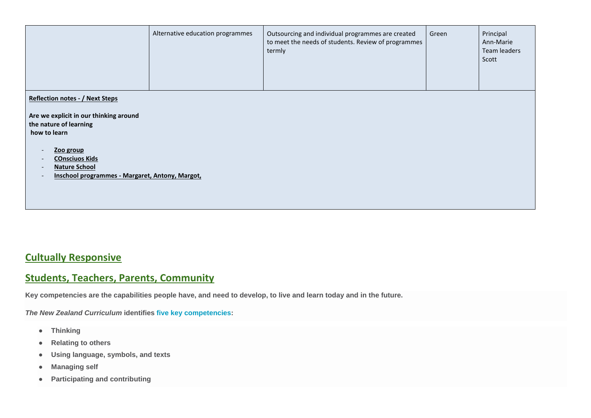|                                        | Alternative education programmes | Outsourcing and individual programmes are created<br>to meet the needs of students. Review of programmes<br>termly | Green | Principal<br>Ann-Marie<br>Team leaders<br>Scott |
|----------------------------------------|----------------------------------|--------------------------------------------------------------------------------------------------------------------|-------|-------------------------------------------------|
| <b>Reflection notes - / Next Steps</b> |                                  |                                                                                                                    |       |                                                 |

**Are we explicit in our thinking around the nature of learning how to learn**

- **Zoo group**
- **COnsciuos Kids**
- **Nature School**
- **Inschool programmes - Margaret, Antony, Margot,**

### **Cultually Responsive**

### **Students, Teachers, Parents, Community**

**Key competencies are the capabilities people have, and need to develop, to live and learn today and in the future.**

*The New Zealand Curriculum* **identifies [five key competencies:](https://nzcurriculum.tki.org.nz/The-New-Zealand-Curriculum#key_competencies)**

- **Thinking**
- **Relating to others**
- **Using language, symbols, and texts**
- **Managing self**
- **Participating and contributing**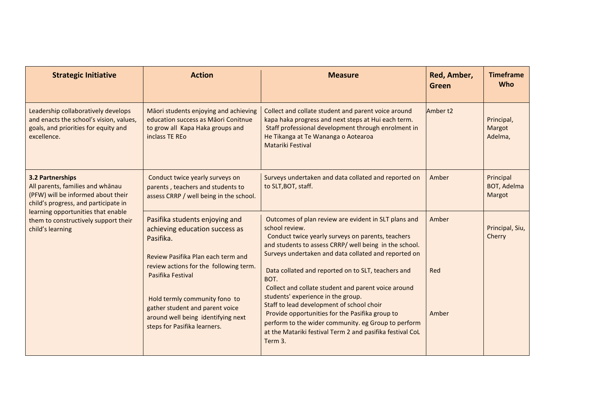| <b>Action</b>                                                                                                                                               | <b>Measure</b>                                                                                                                                                                                                                                                                                                                                                              | Red, Amber,<br><b>Green</b>                                     | <b>Timeframe</b><br><b>Who</b>  |
|-------------------------------------------------------------------------------------------------------------------------------------------------------------|-----------------------------------------------------------------------------------------------------------------------------------------------------------------------------------------------------------------------------------------------------------------------------------------------------------------------------------------------------------------------------|-----------------------------------------------------------------|---------------------------------|
| Māori students enjoying and achieving<br>education success as Māori Conitnue<br>to grow all Kapa Haka groups and<br>inclass TE REo                          | Collect and collate student and parent voice around<br>kapa haka progress and next steps at Hui each term.<br>Staff professional development through enrolment in<br>He Tikanga at Te Wananga o Aotearoa<br>Matariki Festival                                                                                                                                               |                                                                 | Principal,<br>Margot<br>Adelma, |
| Conduct twice yearly surveys on<br>parents, teachers and students to<br>assess CRRP / well being in the school.                                             | Surveys undertaken and data collated and reported on<br>to SLT, BOT, staff.                                                                                                                                                                                                                                                                                                 | Principal<br>Amber<br>Margot<br>Amber<br>Cherry<br>Red<br>Amber | <b>BOT, Adelma</b>              |
| Pasifika students enjoying and<br>achieving education success as<br>Pasifika.<br>Review Pasifika Plan each term and                                         | Outcomes of plan review are evident in SLT plans and<br>school review.<br>Conduct twice yearly surveys on parents, teachers<br>and students to assess CRRP/ well being in the school.<br>Surveys undertaken and data collated and reported on                                                                                                                               |                                                                 | Principal, Siu,                 |
| Pasifika Festival<br>Hold termly community fono to<br>gather student and parent voice<br>around well being identifying next<br>steps for Pasifika learners. | Data collated and reported on to SLT, teachers and<br>BOT.<br>Collect and collate student and parent voice around<br>students' experience in the group.<br>Staff to lead development of school choir<br>Provide opportunities for the Pasifika group to<br>perform to the wider community. eg Group to perform<br>at the Matariki festival Term 2 and pasifika festival CoL |                                                                 |                                 |
|                                                                                                                                                             | review actions for the following term.                                                                                                                                                                                                                                                                                                                                      | Term 3.                                                         | Amber <sub>t2</sub>             |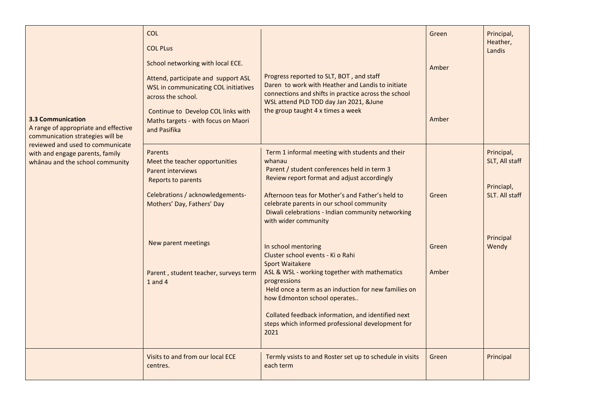| <b>3.3 Communication</b><br>A range of appropriate and effective<br>communication strategies will be   | <b>COL</b><br><b>COL PLus</b><br>School networking with local ECE.<br>Attend, participate and support ASL<br><b>WSL in communicating COL initiatives</b><br>across the school.<br>Continue to Develop COL links with<br>Maths targets - with focus on Maori<br>and Pasifika | Progress reported to SLT, BOT, and staff<br>Daren to work with Heather and Landis to initiate<br>connections and shifts in practice across the school<br>WSL attend PLD TOD day Jan 2021, &June<br>the group taught 4 x times a week                                                                                                                           | Green<br>Amber<br>Amber | Principal,<br>Heather,<br>Landis                             |
|--------------------------------------------------------------------------------------------------------|-----------------------------------------------------------------------------------------------------------------------------------------------------------------------------------------------------------------------------------------------------------------------------|----------------------------------------------------------------------------------------------------------------------------------------------------------------------------------------------------------------------------------------------------------------------------------------------------------------------------------------------------------------|-------------------------|--------------------------------------------------------------|
| reviewed and used to communicate<br>with and engage parents, family<br>whanau and the school community | Parents<br>Meet the teacher opportunities<br><b>Parent interviews</b><br>Reports to parents<br>Celebrations / acknowledgements-<br>Mothers' Day, Fathers' Day                                                                                                               | Term 1 informal meeting with students and their<br>whanau<br>Parent / student conferences held in term 3<br>Review report format and adjust accordingly<br>Afternoon teas for Mother's and Father's held to<br>celebrate parents in our school community<br>Diwali celebrations - Indian community networking<br>with wider community                          | Green                   | Principal,<br>SLT, All staff<br>Princiapl,<br>SLT. All staff |
|                                                                                                        | New parent meetings<br>Parent, student teacher, surveys term<br>$1$ and $4$                                                                                                                                                                                                 | In school mentoring<br>Cluster school events - Ki o Rahi<br><b>Sport Waitakere</b><br>ASL & WSL - working together with mathematics<br>progressions<br>Held once a term as an induction for new families on<br>how Edmonton school operates<br>Collated feedback information, and identified next<br>steps which informed professional development for<br>2021 | Green<br>Amber          | Principal<br>Wendy                                           |
|                                                                                                        | Visits to and from our local ECE<br>centres.                                                                                                                                                                                                                                | Termly vsists to and Roster set up to schedule in visits<br>each term                                                                                                                                                                                                                                                                                          | Green                   | Principal                                                    |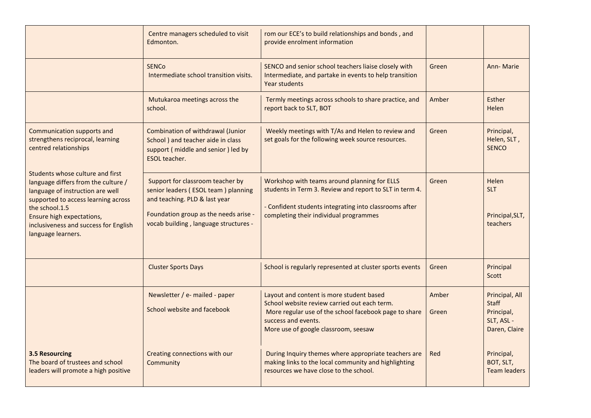|                                                                                                                                                                                                                                                                         | Centre managers scheduled to visit<br>Edmonton.                                                                                                                                            | rom our ECE's to build relationships and bonds, and<br>provide enrolment information                                                                                                                             |                |                                                                             |
|-------------------------------------------------------------------------------------------------------------------------------------------------------------------------------------------------------------------------------------------------------------------------|--------------------------------------------------------------------------------------------------------------------------------------------------------------------------------------------|------------------------------------------------------------------------------------------------------------------------------------------------------------------------------------------------------------------|----------------|-----------------------------------------------------------------------------|
|                                                                                                                                                                                                                                                                         | <b>SENCO</b><br>Intermediate school transition visits.                                                                                                                                     | SENCO and senior school teachers liaise closely with<br>Intermediate, and partake in events to help transition<br>Year students                                                                                  | Green          | Ann-Marie                                                                   |
|                                                                                                                                                                                                                                                                         | Mutukaroa meetings across the<br>school.                                                                                                                                                   | Termly meetings across schools to share practice, and<br>report back to SLT, BOT                                                                                                                                 | Amber          | <b>Esther</b><br>Helen                                                      |
| Communication supports and<br>strengthens reciprocal, learning<br>centred relationships                                                                                                                                                                                 | Combination of withdrawal (Junior<br>School ) and teacher aide in class<br>support (middle and senior) led by<br>ESOL teacher.                                                             | Weekly meetings with T/As and Helen to review and<br>set goals for the following week source resources.                                                                                                          | Green          | Principal,<br>Helen, SLT,<br><b>SENCO</b>                                   |
| <b>Students whose culture and first</b><br>language differs from the culture /<br>language of instruction are well<br>supported to access learning across<br>the school.1.5<br>Ensure high expectations,<br>inclusiveness and success for English<br>language learners. | Support for classroom teacher by<br>senior leaders (ESOL team) planning<br>and teaching. PLD & last year<br>Foundation group as the needs arise -<br>vocab building, language structures - | Workshop with teams around planning for ELLS<br>students in Term 3. Review and report to SLT in term 4.<br>- Confident students integrating into classrooms after<br>completing their individual programmes      | Green          | Helen<br><b>SLT</b><br>Principal, SLT,<br>teachers                          |
|                                                                                                                                                                                                                                                                         | <b>Cluster Sports Days</b>                                                                                                                                                                 | School is regularly represented at cluster sports events                                                                                                                                                         | Green          | Principal<br>Scott                                                          |
|                                                                                                                                                                                                                                                                         | Newsletter / e- mailed - paper<br>School website and facebook                                                                                                                              | Layout and content is more student based<br>School website review carried out each term.<br>More regular use of the school facebook page to share<br>success and events.<br>More use of google classroom, seesaw | Amber<br>Green | Principal, All<br><b>Staff</b><br>Principal,<br>SLT, ASL -<br>Daren, Claire |
| <b>3.5 Resourcing</b><br>The board of trustees and school<br>leaders will promote a high positive                                                                                                                                                                       | Creating connections with our<br>Community                                                                                                                                                 | During Inquiry themes where appropriate teachers are<br>making links to the local community and highlighting<br>resources we have close to the school.                                                           | Red            | Principal,<br>BOT, SLT,<br><b>Team leaders</b>                              |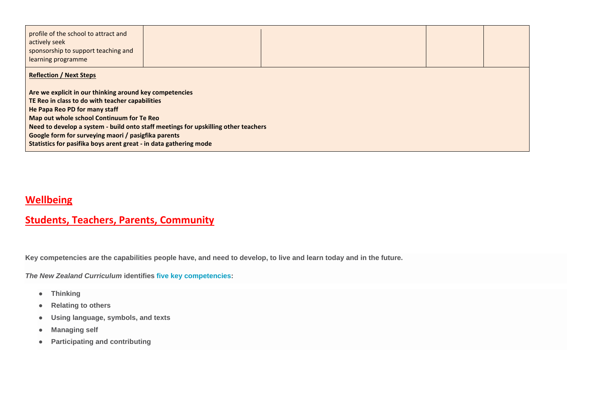| profile of the school to attract and<br>actively seek<br>sponsorship to support teaching and<br>learning programme |  |  |  |  |  |  |  |  |
|--------------------------------------------------------------------------------------------------------------------|--|--|--|--|--|--|--|--|
| <b>Reflection / Next Steps</b>                                                                                     |  |  |  |  |  |  |  |  |
| Are we explicit in our thinking around key competencies<br>TE Reo in class to do with teacher capabilities         |  |  |  |  |  |  |  |  |
| He Papa Reo PD for many staff                                                                                      |  |  |  |  |  |  |  |  |
| Map out whole school Continuum for Te Reo                                                                          |  |  |  |  |  |  |  |  |
| Need to develop a system - build onto staff meetings for upskilling other teachers                                 |  |  |  |  |  |  |  |  |
| Google form for surveying maori / pasigfika parents                                                                |  |  |  |  |  |  |  |  |
| Statistics for pasifika boys arent great - in data gathering mode                                                  |  |  |  |  |  |  |  |  |

### **Wellbeing**

### **Students, Teachers, Parents, Community**

**Key competencies are the capabilities people have, and need to develop, to live and learn today and in the future.**

*The New Zealand Curriculum* **identifies [five key competencies:](https://nzcurriculum.tki.org.nz/The-New-Zealand-Curriculum#key_competencies)**

- **Thinking**
- **Relating to others**
- **Using language, symbols, and texts**
- **Managing self**
- **Participating and contributing**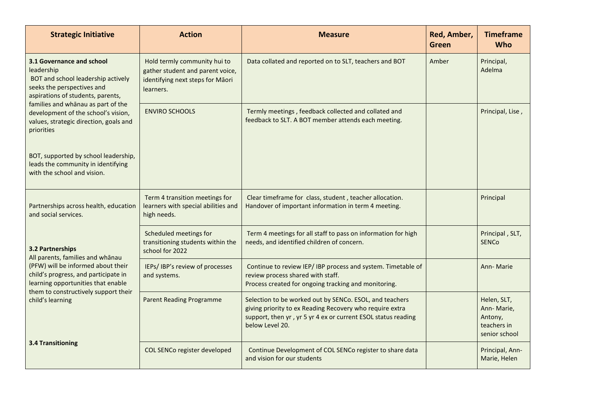| <b>Strategic Initiative</b>                                                                                                                                                                                                                                                           | <b>Action</b>                                                                                                     | <b>Measure</b>                                                                                                                                                                                          | Red, Amber,<br><b>Green</b> | <b>Timeframe</b><br><b>Who</b>                                       |
|---------------------------------------------------------------------------------------------------------------------------------------------------------------------------------------------------------------------------------------------------------------------------------------|-------------------------------------------------------------------------------------------------------------------|---------------------------------------------------------------------------------------------------------------------------------------------------------------------------------------------------------|-----------------------------|----------------------------------------------------------------------|
| 3.1 Governance and school<br>leadership<br>BOT and school leadership actively<br>seeks the perspectives and<br>aspirations of students, parents,<br>families and whanau as part of the<br>development of the school's vision,<br>values, strategic direction, goals and<br>priorities | Hold termly community hui to<br>gather student and parent voice,<br>identifying next steps for Māori<br>learners. | Data collated and reported on to SLT, teachers and BOT                                                                                                                                                  | Amber                       | Principal,<br>Adelma                                                 |
|                                                                                                                                                                                                                                                                                       | <b>ENVIRO SCHOOLS</b>                                                                                             | Termly meetings, feedback collected and collated and<br>feedback to SLT. A BOT member attends each meeting.                                                                                             |                             | Principal, Lise,                                                     |
| BOT, supported by school leadership,<br>leads the community in identifying<br>with the school and vision.                                                                                                                                                                             |                                                                                                                   |                                                                                                                                                                                                         |                             |                                                                      |
| Partnerships across health, education<br>and social services.                                                                                                                                                                                                                         | Term 4 transition meetings for<br>learners with special abilities and<br>high needs.                              | Clear timeframe for class, student, teacher allocation.<br>Handover of important information in term 4 meeting.                                                                                         |                             | Principal                                                            |
| <b>3.2 Partnerships</b><br>All parents, families and whanau<br>(PFW) will be informed about their<br>child's progress, and participate in<br>learning opportunities that enable<br>them to constructively support their<br>child's learning<br><b>3.4 Transitioning</b>               | Scheduled meetings for<br>transitioning students within the<br>school for 2022                                    | Term 4 meetings for all staff to pass on information for high<br>needs, and identified children of concern.                                                                                             |                             | Principal, SLT,<br><b>SENCO</b>                                      |
|                                                                                                                                                                                                                                                                                       | IEPs/ IBP's review of processes<br>and systems.                                                                   | Continue to review IEP/ IBP process and system. Timetable of<br>review process shared with staff.<br>Process created for ongoing tracking and monitoring.                                               |                             | Ann-Marie                                                            |
|                                                                                                                                                                                                                                                                                       | <b>Parent Reading Programme</b>                                                                                   | Selection to be worked out by SENCo. ESOL, and teachers<br>giving priority to ex Reading Recovery who require extra<br>support, then yr, yr 5 yr 4 ex or current ESOL status reading<br>below Level 20. |                             | Helen, SLT,<br>Ann-Marie,<br>Antony,<br>teachers in<br>senior school |
|                                                                                                                                                                                                                                                                                       | COL SENCo register developed                                                                                      | Continue Development of COL SENCo register to share data<br>and vision for our students                                                                                                                 |                             | Principal, Ann-<br>Marie, Helen                                      |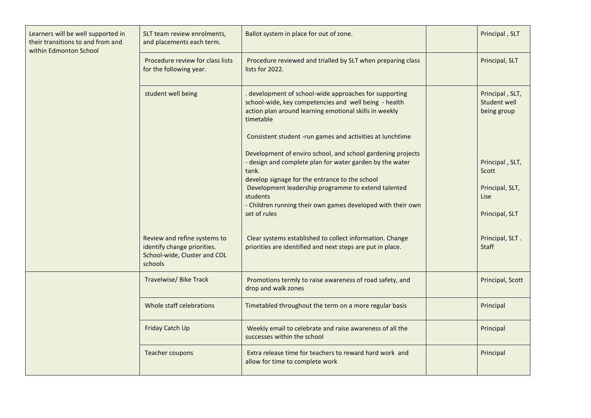| Learners will be well supported in<br>their transitions to and from and<br>within Edmonton School | SLT team review enrolments,<br>and placements each term.                                               | Ballot system in place for out of zone.                                                                                                                                                                                                                                                                                              | Principal, SLT                                                        |
|---------------------------------------------------------------------------------------------------|--------------------------------------------------------------------------------------------------------|--------------------------------------------------------------------------------------------------------------------------------------------------------------------------------------------------------------------------------------------------------------------------------------------------------------------------------------|-----------------------------------------------------------------------|
|                                                                                                   | Procedure review for class lists<br>for the following year.                                            | Procedure reviewed and trialled by SLT when preparing class<br>lists for 2022.                                                                                                                                                                                                                                                       | Principal, SLT                                                        |
|                                                                                                   | student well being                                                                                     | development of school-wide approaches for supporting<br>school-wide, key competencies and well being - health<br>action plan around learning emotional skills in weekly<br>timetable                                                                                                                                                 | Principal, SLT,<br>Student well<br>being group                        |
|                                                                                                   |                                                                                                        | Consistent student -run games and activities at lunchtime                                                                                                                                                                                                                                                                            |                                                                       |
|                                                                                                   |                                                                                                        | Development of enviro school, and school gardening projects<br>- design and complete plan for water garden by the water<br>tank.<br>develop signage for the entrance to the school<br>Development leadership programme to extend talented<br>students<br>- Children running their own games developed with their own<br>set of rules | Principal, SLT,<br>Scott<br>Principal, SLT,<br>Lise<br>Principal, SLT |
|                                                                                                   | Review and refine systems to<br>identify change priorities.<br>School-wide, Cluster and COL<br>schools | Clear systems established to collect information. Change<br>priorities are identified and next steps are put in place.                                                                                                                                                                                                               | Principal, SLT.<br><b>Staff</b>                                       |
|                                                                                                   | <b>Travelwise/Bike Track</b>                                                                           | Promotions termly to raise awareness of road safety, and<br>drop and walk zones                                                                                                                                                                                                                                                      | Principal, Scott                                                      |
|                                                                                                   | Whole staff celebrations                                                                               | Timetabled throughout the term on a more regular basis                                                                                                                                                                                                                                                                               | Principal                                                             |
|                                                                                                   | Friday Catch Up                                                                                        | Weekly email to celebrate and raise awareness of all the<br>successes within the school                                                                                                                                                                                                                                              | Principal                                                             |
|                                                                                                   | Teacher coupons                                                                                        | Extra release time for teachers to reward hard work and<br>allow for time to complete work                                                                                                                                                                                                                                           | Principal                                                             |